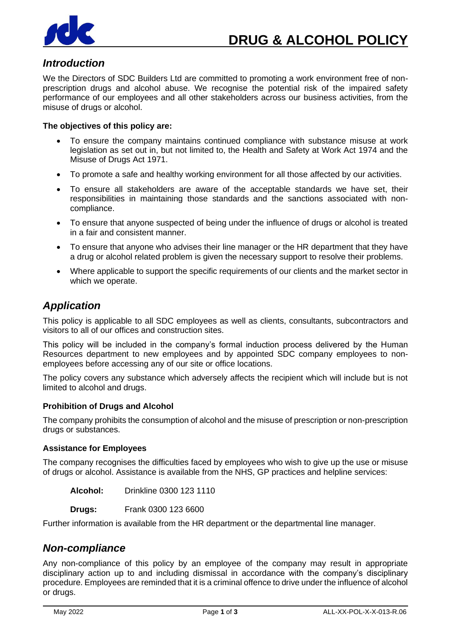

## *Introduction*

We the Directors of SDC Builders Ltd are committed to promoting a work environment free of nonprescription drugs and alcohol abuse. We recognise the potential risk of the impaired safety performance of our employees and all other stakeholders across our business activities, from the misuse of drugs or alcohol.

### **The objectives of this policy are:**

- To ensure the company maintains continued compliance with substance misuse at work legislation as set out in, but not limited to, the Health and Safety at Work Act 1974 and the Misuse of Drugs Act 1971.
- To promote a safe and healthy working environment for all those affected by our activities.
- To ensure all stakeholders are aware of the acceptable standards we have set, their responsibilities in maintaining those standards and the sanctions associated with noncompliance.
- To ensure that anyone suspected of being under the influence of drugs or alcohol is treated in a fair and consistent manner.
- To ensure that anyone who advises their line manager or the HR department that they have a drug or alcohol related problem is given the necessary support to resolve their problems.
- Where applicable to support the specific requirements of our clients and the market sector in which we operate.

### *Application*

This policy is applicable to all SDC employees as well as clients, consultants, subcontractors and visitors to all of our offices and construction sites.

This policy will be included in the company's formal induction process delivered by the Human Resources department to new employees and by appointed SDC company employees to nonemployees before accessing any of our site or office locations.

The policy covers any substance which adversely affects the recipient which will include but is not limited to alcohol and drugs.

### **Prohibition of Drugs and Alcohol**

The company prohibits the consumption of alcohol and the misuse of prescription or non-prescription drugs or substances.

### **Assistance for Employees**

The company recognises the difficulties faced by employees who wish to give up the use or misuse of drugs or alcohol. Assistance is available from the NHS, GP practices and helpline services:

**Alcohol:** Drinkline 0300 123 1110

**Drugs:** Frank 0300 123 6600

Further information is available from the HR department or the departmental line manager.

### *Non-compliance*

Any non-compliance of this policy by an employee of the company may result in appropriate disciplinary action up to and including dismissal in accordance with the company's disciplinary procedure. Employees are reminded that it is a criminal offence to drive under the influence of alcohol or drugs.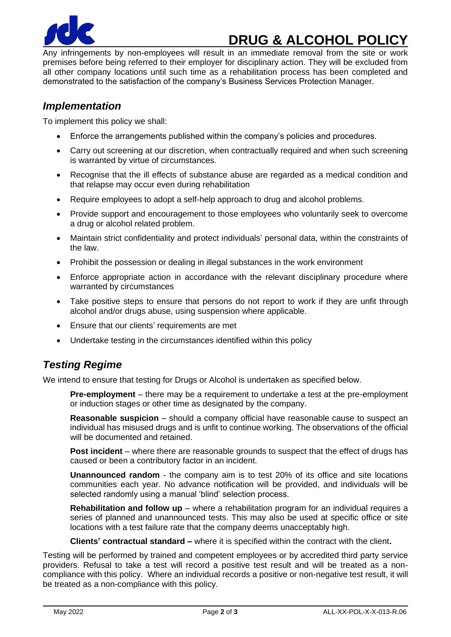

# **DRUG & ALCOHOL POLICY**

Any infringements by non-employees will result in an immediate removal from the site or work premises before being referred to their employer for disciplinary action. They will be excluded from all other company locations until such time as a rehabilitation process has been completed and demonstrated to the satisfaction of the company's Business Services Protection Manager.

## *Implementation*

To implement this policy we shall:

- Enforce the arrangements published within the company's policies and procedures.
- Carry out screening at our discretion, when contractually required and when such screening is warranted by virtue of circumstances.
- Recognise that the ill effects of substance abuse are regarded as a medical condition and that relapse may occur even during rehabilitation
- Require employees to adopt a self-help approach to drug and alcohol problems.
- Provide support and encouragement to those employees who voluntarily seek to overcome a drug or alcohol related problem.
- Maintain strict confidentiality and protect individuals' personal data, within the constraints of the law.
- Prohibit the possession or dealing in illegal substances in the work environment
- Enforce appropriate action in accordance with the relevant disciplinary procedure where warranted by circumstances
- Take positive steps to ensure that persons do not report to work if they are unfit through alcohol and/or drugs abuse, using suspension where applicable.
- Ensure that our clients' requirements are met
- Undertake testing in the circumstances identified within this policy

## *Testing Regime*

We intend to ensure that testing for Drugs or Alcohol is undertaken as specified below.

**Pre-employment** – there may be a requirement to undertake a test at the pre-employment or induction stages or other time as designated by the company.

**Reasonable suspicion** – should a company official have reasonable cause to suspect an individual has misused drugs and is unfit to continue working. The observations of the official will be documented and retained.

**Post incident** – where there are reasonable grounds to suspect that the effect of drugs has caused or been a contributory factor in an incident.

**Unannounced random** - the company aim is to test 20% of its office and site locations communities each year. No advance notification will be provided, and individuals will be selected randomly using a manual 'blind' selection process.

**Rehabilitation and follow up** – where a rehabilitation program for an individual requires a series of planned and unannounced tests. This may also be used at specific office or site locations with a test failure rate that the company deems unacceptably high.

**Clients' contractual standard –** where it is specified within the contract with the client**.**

Testing will be performed by trained and competent employees or by accredited third party service providers. Refusal to take a test will record a positive test result and will be treated as a noncompliance with this policy. Where an individual records a positive or non-negative test result, it will be treated as a non-compliance with this policy.